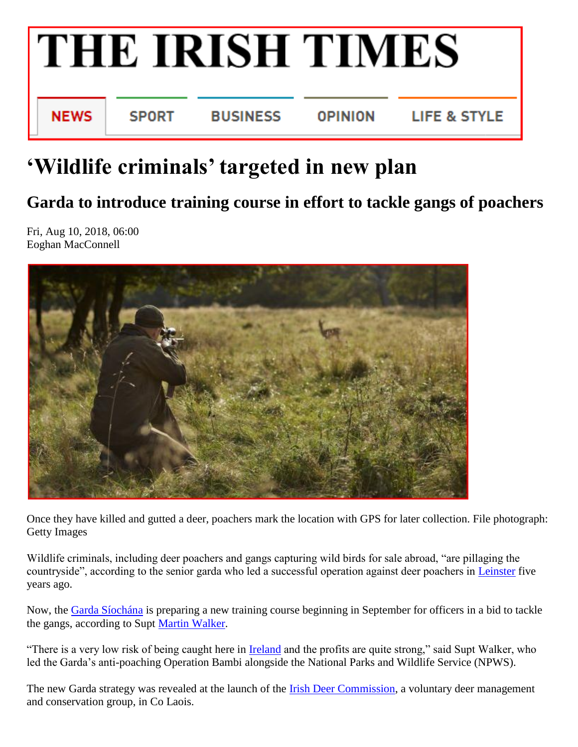

## **'Wildlife criminals' targeted in new plan**

## **Garda to introduce training course in effort to tackle gangs of poachers**

Fri, Aug 10, 2018, 06:00 Eoghan MacConnell



Once they have killed and gutted a deer, poachers mark the location with GPS for later collection. File photograph: Getty Images

Wildlife criminals, including deer poachers and gangs capturing wild birds for sale abroad, "are pillaging the countryside", according to the senior garda who led a successful operation against deer poachers in [Leinster](https://www.irishtimes.com/topics/topics-7.1213540?article=true&tag_organisation=Leinster) five years ago.

Now, the [Garda Síochána](https://www.irishtimes.com/topics/topics-7.1213540?article=true&tag_organisation=Garda+S%C3%ADoch%C3%A1na) is preparing a new training course beginning in September for officers in a bid to tackle the gangs, according to Supt [Martin Walker.](https://www.irishtimes.com/topics/topics-7.1213540?article=true&tag_person=Martin+Walker)

"There is a very low risk of being caught here in [Ireland](https://www.irishtimes.com/news) and the profits are quite strong," said Supt Walker, who led the Garda's anti-poaching Operation Bambi alongside the National Parks and Wildlife Service (NPWS).

The new Garda strategy was revealed at the launch of the **Irish Deer Commission**, a voluntary deer management and conservation group, in Co Laois.